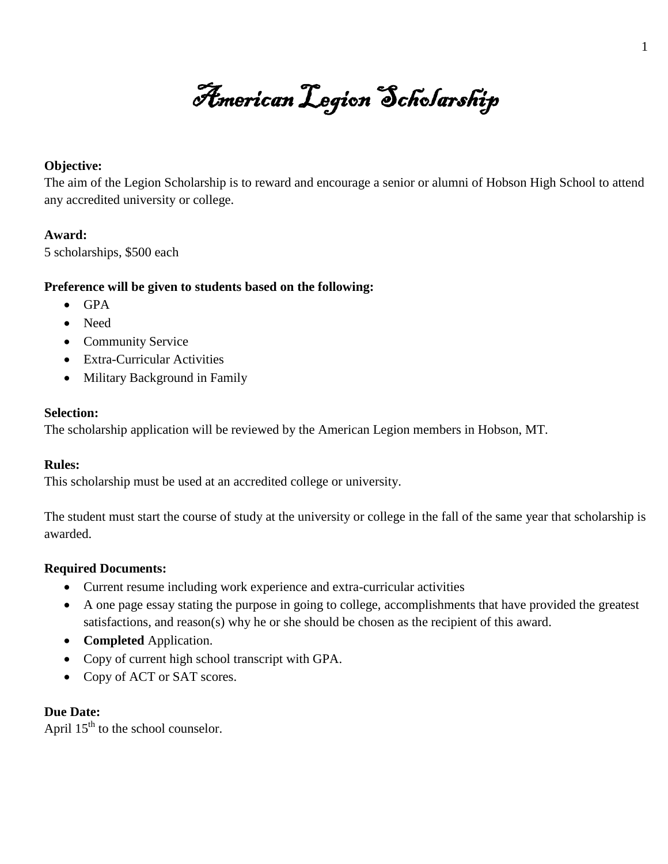American Legion Scholarship

### **Objective:**

The aim of the Legion Scholarship is to reward and encourage a senior or alumni of Hobson High School to attend any accredited university or college.

# **Award:**

5 scholarships, \$500 each

## **Preference will be given to students based on the following:**

- $\bullet$  GPA
- Need
- Community Service
- Extra-Curricular Activities
- Military Background in Family

## **Selection:**

The scholarship application will be reviewed by the American Legion members in Hobson, MT.

# **Rules:**

This scholarship must be used at an accredited college or university.

The student must start the course of study at the university or college in the fall of the same year that scholarship is awarded.

# **Required Documents:**

- Current resume including work experience and extra-curricular activities
- A one page essay stating the purpose in going to college, accomplishments that have provided the greatest satisfactions, and reason(s) why he or she should be chosen as the recipient of this award.
- **Completed** Application.
- Copy of current high school transcript with GPA.
- Copy of ACT or SAT scores.

#### **Due Date:**

April  $15<sup>th</sup>$  to the school counselor.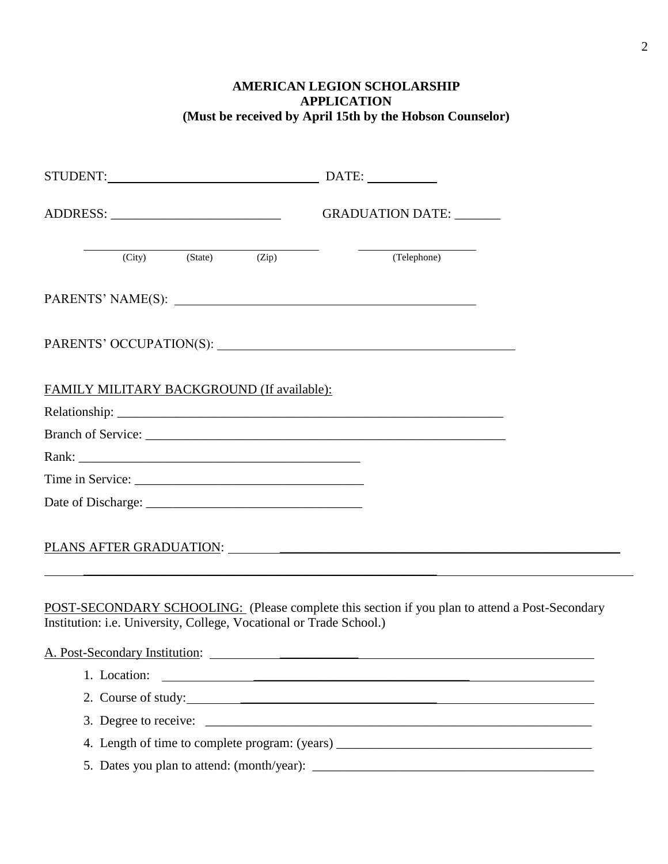# **AMERICAN LEGION SCHOLARSHIP APPLICATION (Must be received by April 15th by the Hobson Counselor)**

|  |                                            | GRADUATION DATE: ______ |                                                                                                                                                                       |  |
|--|--------------------------------------------|-------------------------|-----------------------------------------------------------------------------------------------------------------------------------------------------------------------|--|
|  |                                            | (City) (State) (Zip)    | (Telephone)                                                                                                                                                           |  |
|  |                                            |                         |                                                                                                                                                                       |  |
|  |                                            |                         |                                                                                                                                                                       |  |
|  | FAMILY MILITARY BACKGROUND (If available): |                         |                                                                                                                                                                       |  |
|  |                                            |                         |                                                                                                                                                                       |  |
|  |                                            |                         |                                                                                                                                                                       |  |
|  |                                            |                         |                                                                                                                                                                       |  |
|  |                                            |                         |                                                                                                                                                                       |  |
|  |                                            |                         |                                                                                                                                                                       |  |
|  |                                            |                         |                                                                                                                                                                       |  |
|  | A. Post-Secondary Institution:             |                         | POST-SECONDARY SCHOOLING: (Please complete this section if you plan to attend a Post-Secondary<br>Institution: i.e. University, College, Vocational or Trade School.) |  |
|  |                                            |                         |                                                                                                                                                                       |  |
|  |                                            |                         | 2. Course of study:                                                                                                                                                   |  |
|  |                                            |                         |                                                                                                                                                                       |  |
|  |                                            |                         | 4. Length of time to complete program: (years) __________________________________                                                                                     |  |
|  |                                            |                         |                                                                                                                                                                       |  |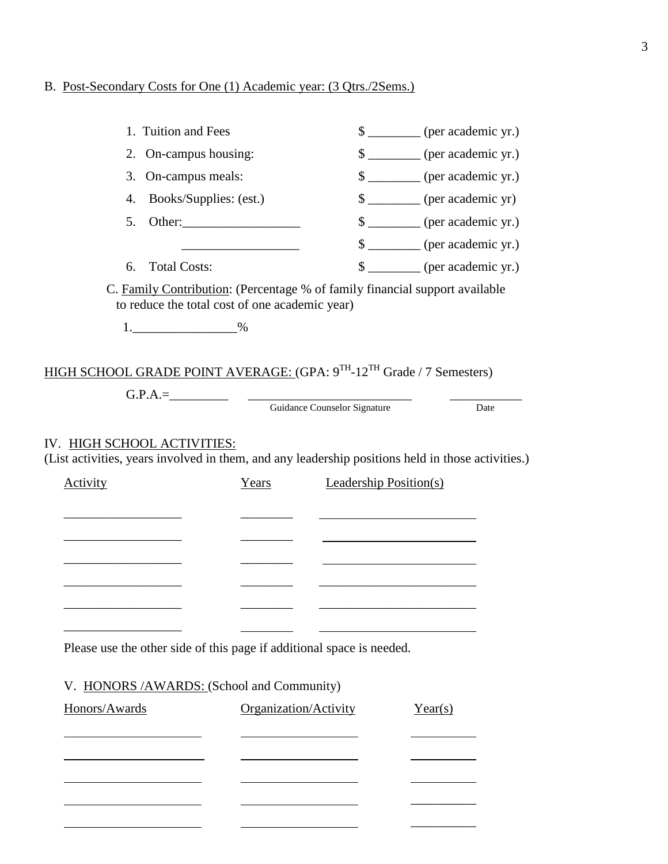# B. Post-Secondary Costs for One (1) Academic year: (3 Qtrs./2Sems.)

| 1. Tuition and Fees                                                                                                              |                                                                                                                               |                                     | \$ _________ (per academic yr.)  |
|----------------------------------------------------------------------------------------------------------------------------------|-------------------------------------------------------------------------------------------------------------------------------|-------------------------------------|----------------------------------|
| 2. On-campus housing:                                                                                                            |                                                                                                                               |                                     | \$ ________ (per academic yr.)   |
| On-campus meals:<br>3.                                                                                                           |                                                                                                                               |                                     | \$ _________ (per academic yr.)  |
| 4.                                                                                                                               | Books/Supplies: (est.)                                                                                                        |                                     | \$ ________ (per academic yr)    |
| 5.                                                                                                                               |                                                                                                                               |                                     | \$ _________ (per academic yr.)  |
|                                                                                                                                  | <u> 1990 - Johann Barbara, martin a</u>                                                                                       |                                     | $\frac{1}{2}$ (per academic yr.) |
| <b>Total Costs:</b><br>6.                                                                                                        |                                                                                                                               |                                     | \$ _________ (per academic yr.)  |
| $1.$ ________________________%                                                                                                   | C. Family Contribution: (Percentage % of family financial support available<br>to reduce the total cost of one academic year) |                                     |                                  |
| HIGH SCHOOL GRADE POINT AVERAGE: (GPA: 9TH-12TH Grade / 7 Semesters)                                                             |                                                                                                                               |                                     |                                  |
|                                                                                                                                  |                                                                                                                               | <b>Guidance Counselor Signature</b> | Date                             |
| IV. HIGH SCHOOL ACTIVITIES:<br>(List activities, years involved in them, and any leadership positions held in those activities.) |                                                                                                                               |                                     |                                  |
| <b>Activity</b>                                                                                                                  | Years                                                                                                                         | <b>Leadership Position(s)</b>       |                                  |
|                                                                                                                                  |                                                                                                                               |                                     |                                  |
|                                                                                                                                  |                                                                                                                               |                                     |                                  |
|                                                                                                                                  |                                                                                                                               |                                     |                                  |
| Please use the other side of this page if additional space is needed.                                                            |                                                                                                                               |                                     |                                  |
| HONORS /AWARDS: (School and Community)<br>V.<br>Honors/Awards                                                                    | Organization/Activity                                                                                                         |                                     | Year(s)                          |

|                                                                                 | and the contract of the contract of the contract of the contract of the contract of             |  |
|---------------------------------------------------------------------------------|-------------------------------------------------------------------------------------------------|--|
|                                                                                 | the contract of the contract of the contract of the contract of the contract of                 |  |
| the contract of the contract of the contract of the contract of the contract of | the contract of the contract of the contract of the contract of the contract of the contract of |  |
|                                                                                 |                                                                                                 |  |
|                                                                                 |                                                                                                 |  |
|                                                                                 | the contract of the contract of the contract of the contract of the contract of                 |  |